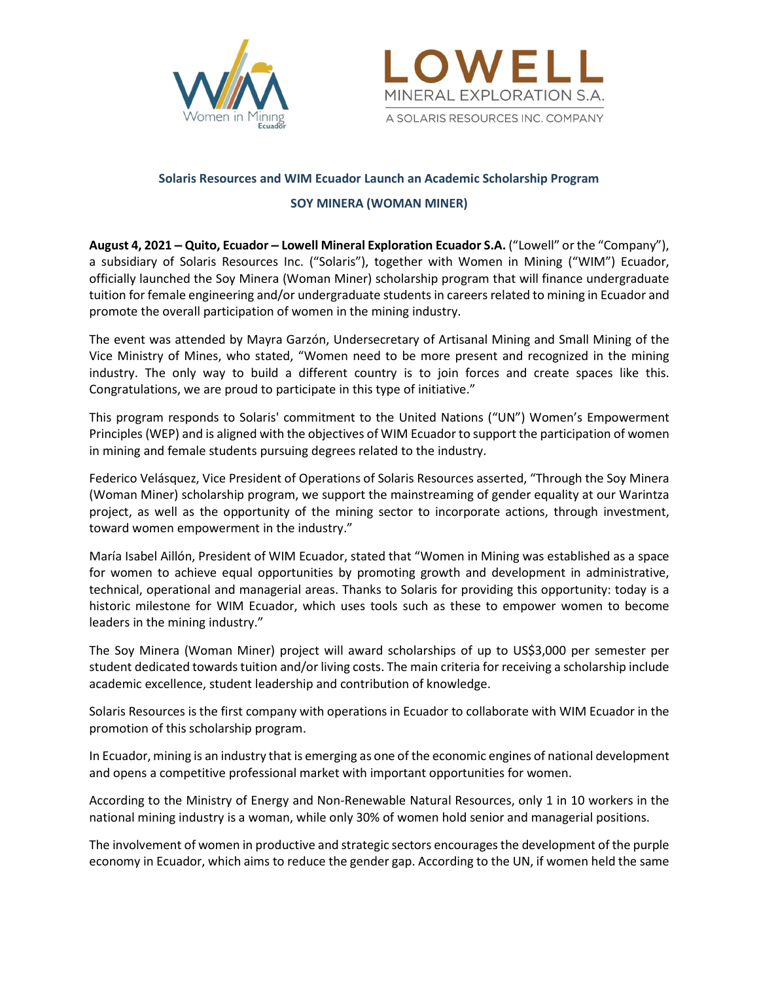



# Solaris Resources and WIM Ecuador Launch an Academic Scholarship Program

## SOY MINERA (WOMAN MINER)

August 4, 2021 – Quito, Ecuador – Lowell Mineral Exploration Ecuador S.A. ("Lowell" or the "Company"), a subsidiary of Solaris Resources Inc. ("Solaris"), together with Women in Mining ("WIM") Ecuador, officially launched the Soy Minera (Woman Miner) scholarship program that will finance undergraduate tuition for female engineering and/or undergraduate students in careers related to mining in Ecuador and promote the overall participation of women in the mining industry.

The event was attended by Mayra Garzón, Undersecretary of Artisanal Mining and Small Mining of the Vice Ministry of Mines, who stated, "Women need to be more present and recognized in the mining industry. The only way to build a different country is to join forces and create spaces like this. Congratulations, we are proud to participate in this type of initiative."

This program responds to Solaris' commitment to the United Nations ("UN") Women's Empowerment Principles (WEP) and is aligned with the objectives of WIM Ecuador to support the participation of women in mining and female students pursuing degrees related to the industry.

Federico Velásquez, Vice President of Operations of Solaris Resources asserted, "Through the Soy Minera (Woman Miner) scholarship program, we support the mainstreaming of gender equality at our Warintza project, as well as the opportunity of the mining sector to incorporate actions, through investment, toward women empowerment in the industry."

María Isabel Aillón, President of WIM Ecuador, stated that "Women in Mining was established as a space for women to achieve equal opportunities by promoting growth and development in administrative, technical, operational and managerial areas. Thanks to Solaris for providing this opportunity: today is a historic milestone for WIM Ecuador, which uses tools such as these to empower women to become leaders in the mining industry."

The Soy Minera (Woman Miner) project will award scholarships of up to US\$3,000 per semester per student dedicated towards tuition and/or living costs. The main criteria for receiving a scholarship include academic excellence, student leadership and contribution of knowledge.

Solaris Resources is the first company with operations in Ecuador to collaborate with WIM Ecuador in the promotion of this scholarship program.

In Ecuador, mining is an industry that is emerging as one of the economic engines of national development and opens a competitive professional market with important opportunities for women.

According to the Ministry of Energy and Non-Renewable Natural Resources, only 1 in 10 workers in the national mining industry is a woman, while only 30% of women hold senior and managerial positions.

The involvement of women in productive and strategic sectors encourages the development of the purple economy in Ecuador, which aims to reduce the gender gap. According to the UN, if women held the same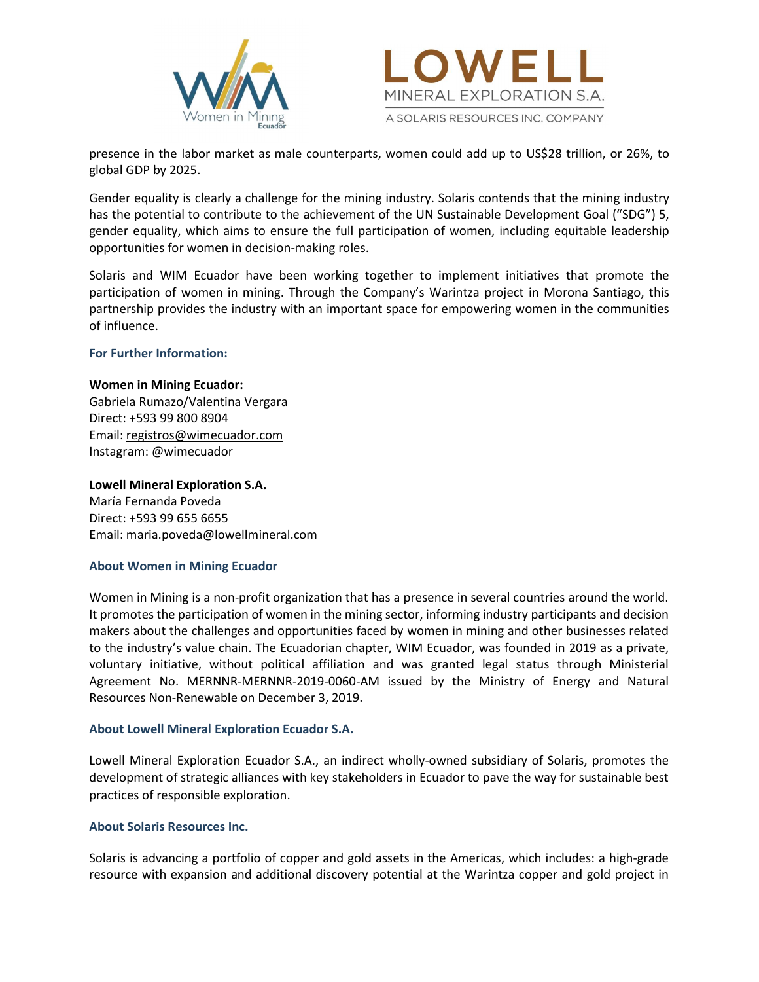



presence in the labor market as male counterparts, women could add up to US\$28 trillion, or 26%, to global GDP by 2025.

Gender equality is clearly a challenge for the mining industry. Solaris contends that the mining industry has the potential to contribute to the achievement of the UN Sustainable Development Goal ("SDG") 5, gender equality, which aims to ensure the full participation of women, including equitable leadership opportunities for women in decision-making roles.

Solaris and WIM Ecuador have been working together to implement initiatives that promote the participation of women in mining. Through the Company's Warintza project in Morona Santiago, this partnership provides the industry with an important space for empowering women in the communities of influence.

## For Further Information:

#### Women in Mining Ecuador:

Gabriela Rumazo/Valentina Vergara Direct: +593 99 800 8904 Email: registros@wimecuador.com Instagram: @wimecuador

## Lowell Mineral Exploration S.A.

María Fernanda Poveda Direct: +593 99 655 6655 Email: maria.poveda@lowellmineral.com

#### About Women in Mining Ecuador

Women in Mining is a non-profit organization that has a presence in several countries around the world. It promotes the participation of women in the mining sector, informing industry participants and decision makers about the challenges and opportunities faced by women in mining and other businesses related to the industry's value chain. The Ecuadorian chapter, WIM Ecuador, was founded in 2019 as a private, voluntary initiative, without political affiliation and was granted legal status through Ministerial Agreement No. MERNNR-MERNNR-2019-0060-AM issued by the Ministry of Energy and Natural Resources Non-Renewable on December 3, 2019.

## About Lowell Mineral Exploration Ecuador S.A.

Lowell Mineral Exploration Ecuador S.A., an indirect wholly-owned subsidiary of Solaris, promotes the development of strategic alliances with key stakeholders in Ecuador to pave the way for sustainable best practices of responsible exploration.

#### About Solaris Resources Inc.

Solaris is advancing a portfolio of copper and gold assets in the Americas, which includes: a high-grade resource with expansion and additional discovery potential at the Warintza copper and gold project in